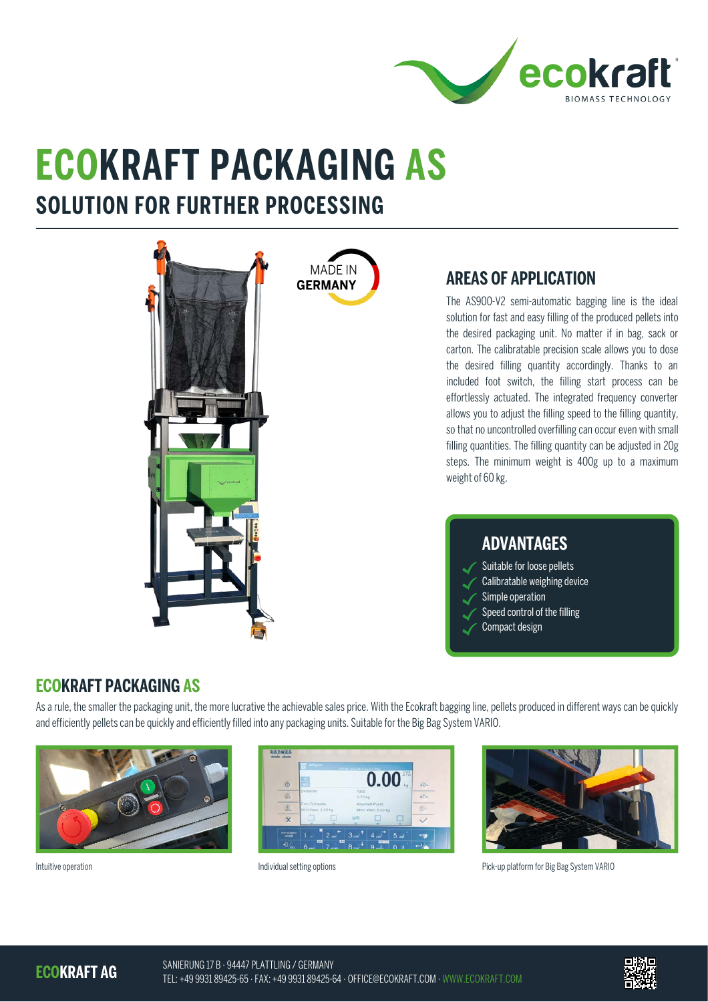

# **ECOKRAFT PACKAGING AS SOLUTION FOR FURTHER PROCESSING**



## **AREAS OF APPLICATION**

The AS900-V2 semi-automatic bagging line is the ideal solution for fast and easy filling of the produced pellets into the desired packaging unit. No matter if in bag, sack or carton. The calibratable precision scale allows you to dose the desired filling quantity accordingly. Thanks to an included foot switch, the filling start process can be effortlessly actuated. The integrated frequency converter allows you to adjust the filling speed to the filling quantity, so that no uncontrolled overfilling can occur even with small filling quantities. The filling quantity can be adjusted in 20g steps. The minimum weight is 400g up to a maximum weight of 60 kg.

#### **ADVANTAGES**

- Suitable for loose pellets
- Calibratable weighing device
- Simple operation
- Speed control of the filling
- Compact design

### **ECOKRAFT PACKAGING AS**

As a rule, the smaller the packaging unit, the more lucrative the achievable sales price. With the Ecokraft bagging line, pellets produced in different ways can be quickly and efficiently pellets can be quickly and efficiently filled into any packaging units. Suitable for the Big Bag System VARIO.







Intuitive operation **Individual setting options** Individual setting options **Pick-up platform for Big Bag System VARIO** 

**ECOKRAFT AG**